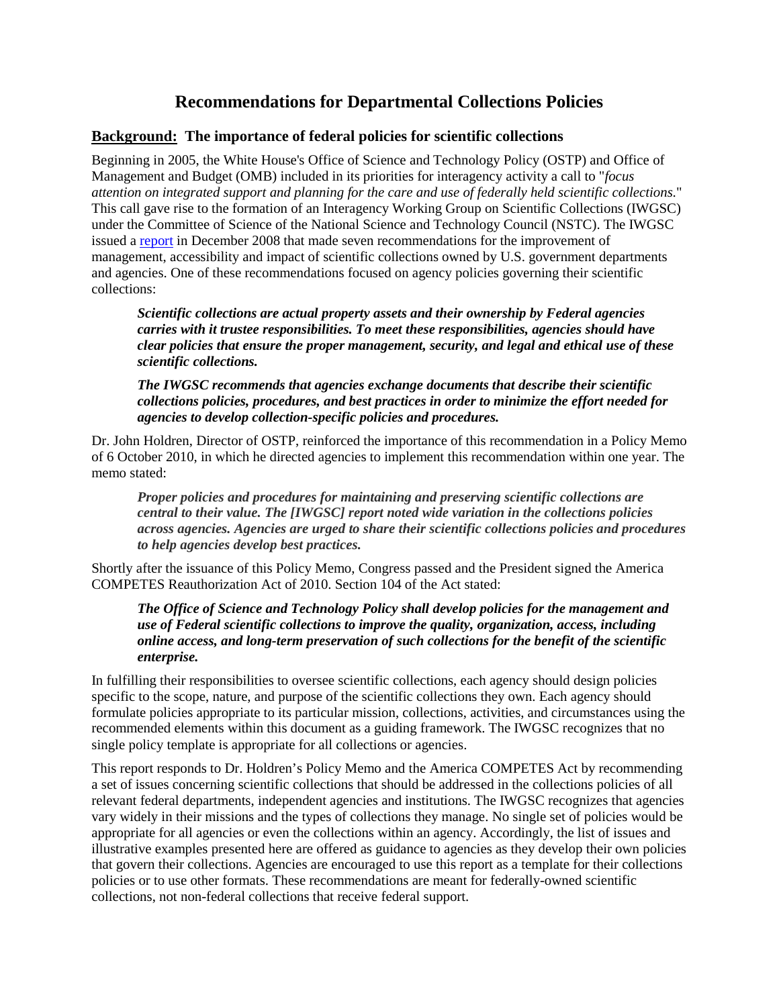# **Recommendations for Departmental Collections Policies**

# **Background: The importance of federal policies for scientific collections**

Beginning in 2005, the White House's Office of Science and Technology Policy (OSTP) and Office of Management and Budget (OMB) included in its priorities for interagency activity a call to "*focus attention on integrated support and planning for the care and use of federally held scientific collections.*" This call gave rise to the formation of an Interagency Working Group on Scientific Collections (IWGSC) under the Committee of Science of the National Science and Technology Council (NSTC). The IWGSC issued a [report](http://www.whitehouse.gov/sites/default/files/sci-collections-report-2009-rev2.pdf) in December 2008 that made seven recommendations for the improvement of management, accessibility and impact of scientific collections owned by U.S. government departments and agencies. One of these recommendations focused on agency policies governing their scientific collections:

*Scientific collections are actual property assets and their ownership by Federal agencies carries with it trustee responsibilities. To meet these responsibilities, agencies should have clear policies that ensure the proper management, security, and legal and ethical use of these scientific collections.*

*The IWGSC recommends that agencies exchange documents that describe their scientific collections policies, procedures, and best practices in order to minimize the effort needed for agencies to develop collection-specific policies and procedures.*

Dr. John Holdren, Director of OSTP, reinforced the importance of this recommendation in a Policy Memo of 6 October 2010, in which he directed agencies to implement this recommendation within one year. The memo stated:

*Proper policies and procedures for maintaining and preserving scientific collections are central to their value. The [IWGSC] report noted wide variation in the collections policies across agencies. Agencies are urged to share their scientific collections policies and procedures to help agencies develop best practices.*

Shortly after the issuance of this Policy Memo, Congress passed and the President signed the America COMPETES Reauthorization Act of 2010. Section 104 of the Act stated:

*The Office of Science and Technology Policy shall develop policies for the management and use of Federal scientific collections to improve the quality, organization, access, including online access, and long-term preservation of such collections for the benefit of the scientific enterprise.*

In fulfilling their responsibilities to oversee scientific collections, each agency should design policies specific to the scope, nature, and purpose of the scientific collections they own. Each agency should formulate policies appropriate to its particular mission, collections, activities, and circumstances using the recommended elements within this document as a guiding framework. The IWGSC recognizes that no single policy template is appropriate for all collections or agencies.

This report responds to Dr. Holdren's Policy Memo and the America COMPETES Act by recommending a set of issues concerning scientific collections that should be addressed in the collections policies of all relevant federal departments, independent agencies and institutions. The IWGSC recognizes that agencies vary widely in their missions and the types of collections they manage. No single set of policies would be appropriate for all agencies or even the collections within an agency. Accordingly, the list of issues and illustrative examples presented here are offered as guidance to agencies as they develop their own policies that govern their collections. Agencies are encouraged to use this report as a template for their collections policies or to use other formats. These recommendations are meant for federally-owned scientific collections, not non-federal collections that receive federal support.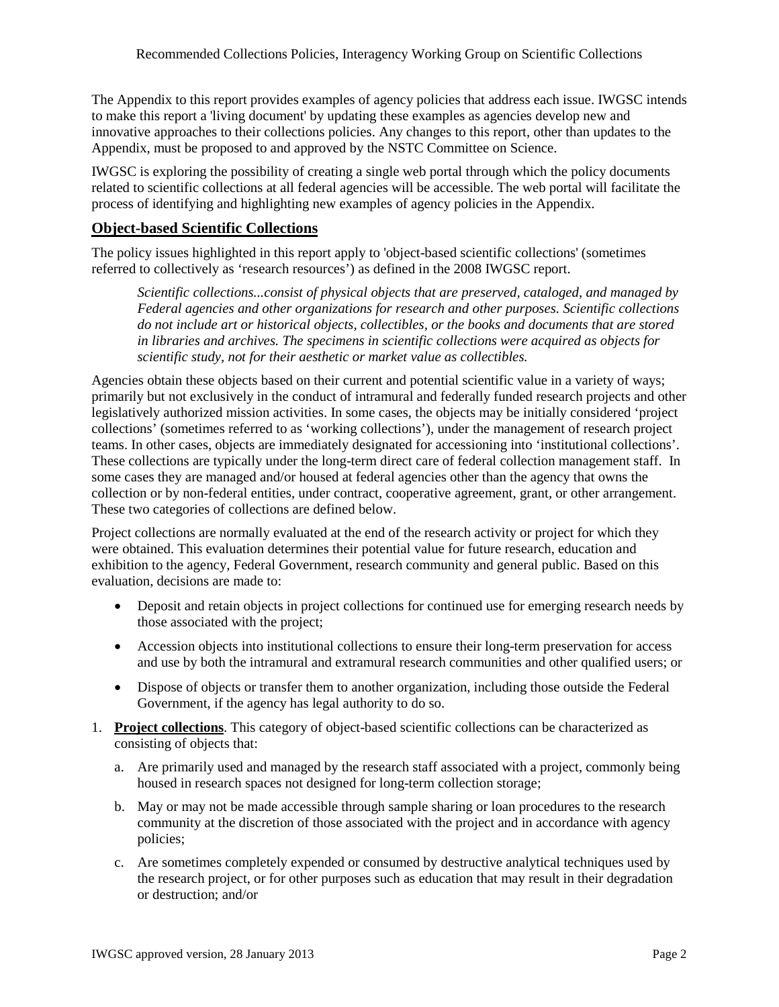The Appendix to this report provides examples of agency policies that address each issue. IWGSC intends to make this report a 'living document' by updating these examples as agencies develop new and innovative approaches to their collections policies. Any changes to this report, other than updates to the Appendix, must be proposed to and approved by the NSTC Committee on Science.

IWGSC is exploring the possibility of creating a single web portal through which the policy documents related to scientific collections at all federal agencies will be accessible. The web portal will facilitate the process of identifying and highlighting new examples of agency policies in the Appendix.

# **Object-based Scientific Collections**

The policy issues highlighted in this report apply to 'object-based scientific collections' (sometimes referred to collectively as 'research resources') as defined in the 2008 IWGSC report.

*Scientific collections...consist of physical objects that are preserved, cataloged, and managed by Federal agencies and other organizations for research and other purposes. Scientific collections do not include art or historical objects, collectibles, or the books and documents that are stored in libraries and archives. The specimens in scientific collections were acquired as objects for scientific study, not for their aesthetic or market value as collectibles.*

Agencies obtain these objects based on their current and potential scientific value in a variety of ways; primarily but not exclusively in the conduct of intramural and federally funded research projects and other legislatively authorized mission activities. In some cases, the objects may be initially considered 'project collections' (sometimes referred to as 'working collections'), under the management of research project teams. In other cases, objects are immediately designated for accessioning into 'institutional collections'. These collections are typically under the long-term direct care of federal collection management staff. In some cases they are managed and/or housed at federal agencies other than the agency that owns the collection or by non-federal entities, under contract, cooperative agreement, grant, or other arrangement. These two categories of collections are defined below.

Project collections are normally evaluated at the end of the research activity or project for which they were obtained. This evaluation determines their potential value for future research, education and exhibition to the agency, Federal Government, research community and general public. Based on this evaluation, decisions are made to:

- Deposit and retain objects in project collections for continued use for emerging research needs by those associated with the project;
- Accession objects into institutional collections to ensure their long-term preservation for access and use by both the intramural and extramural research communities and other qualified users; or
- Dispose of objects or transfer them to another organization, including those outside the Federal Government, if the agency has legal authority to do so.
- 1. **Project collections**. This category of object-based scientific collections can be characterized as consisting of objects that:
	- a. Are primarily used and managed by the research staff associated with a project, commonly being housed in research spaces not designed for long-term collection storage;
	- b. May or may not be made accessible through sample sharing or loan procedures to the research community at the discretion of those associated with the project and in accordance with agency policies;
	- c. Are sometimes completely expended or consumed by destructive analytical techniques used by the research project, or for other purposes such as education that may result in their degradation or destruction; and/or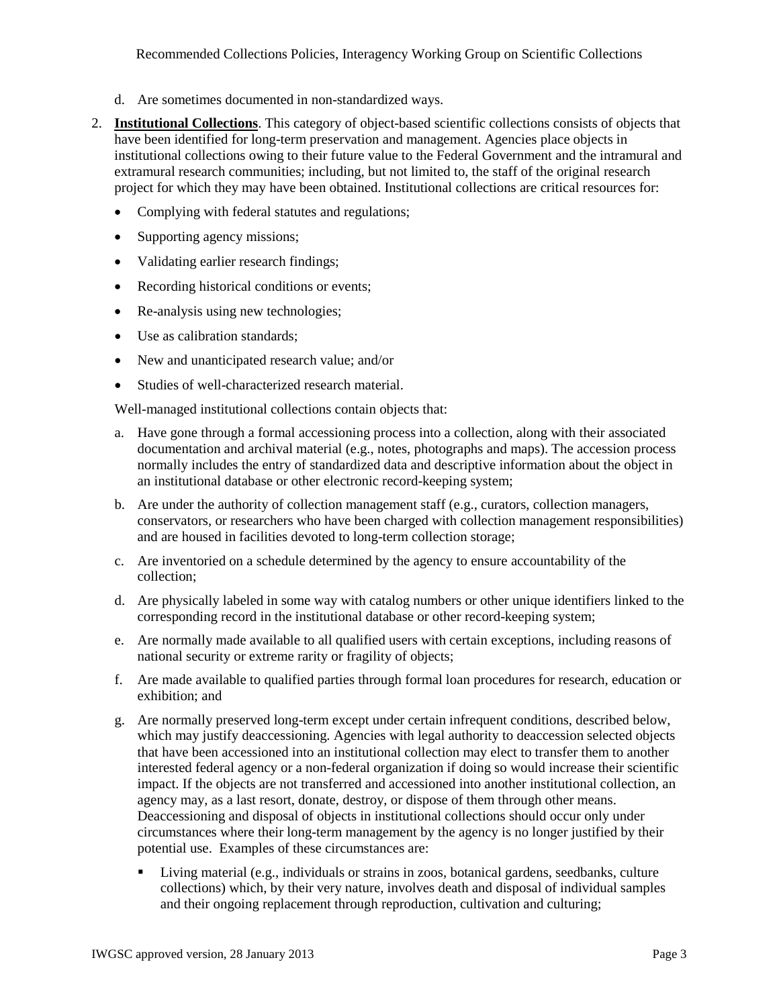- d. Are sometimes documented in non-standardized ways.
- 2. **Institutional Collections**. This category of object-based scientific collections consists of objects that have been identified for long-term preservation and management. Agencies place objects in institutional collections owing to their future value to the Federal Government and the intramural and extramural research communities; including, but not limited to, the staff of the original research project for which they may have been obtained. Institutional collections are critical resources for:
	- Complying with federal statutes and regulations;
	- Supporting agency missions;
	- Validating earlier research findings;
	- Recording historical conditions or events;
	- Re-analysis using new technologies;
	- Use as calibration standards;
	- New and unanticipated research value; and/or
	- Studies of well-characterized research material.

Well-managed institutional collections contain objects that:

- a. Have gone through a formal accessioning process into a collection, along with their associated documentation and archival material (e.g., notes, photographs and maps). The accession process normally includes the entry of standardized data and descriptive information about the object in an institutional database or other electronic record-keeping system;
- b. Are under the authority of collection management staff (e.g., curators, collection managers, conservators, or researchers who have been charged with collection management responsibilities) and are housed in facilities devoted to long-term collection storage;
- c. Are inventoried on a schedule determined by the agency to ensure accountability of the collection;
- d. Are physically labeled in some way with catalog numbers or other unique identifiers linked to the corresponding record in the institutional database or other record-keeping system;
- e. Are normally made available to all qualified users with certain exceptions, including reasons of national security or extreme rarity or fragility of objects;
- f. Are made available to qualified parties through formal loan procedures for research, education or exhibition; and
- g. Are normally preserved long-term except under certain infrequent conditions, described below, which may justify deaccessioning. Agencies with legal authority to deaccession selected objects that have been accessioned into an institutional collection may elect to transfer them to another interested federal agency or a non-federal organization if doing so would increase their scientific impact. If the objects are not transferred and accessioned into another institutional collection, an agency may, as a last resort, donate, destroy, or dispose of them through other means. Deaccessioning and disposal of objects in institutional collections should occur only under circumstances where their long-term management by the agency is no longer justified by their potential use. Examples of these circumstances are:
	- Living material (e.g., individuals or strains in zoos, botanical gardens, seedbanks, culture collections) which, by their very nature, involves death and disposal of individual samples and their ongoing replacement through reproduction, cultivation and culturing;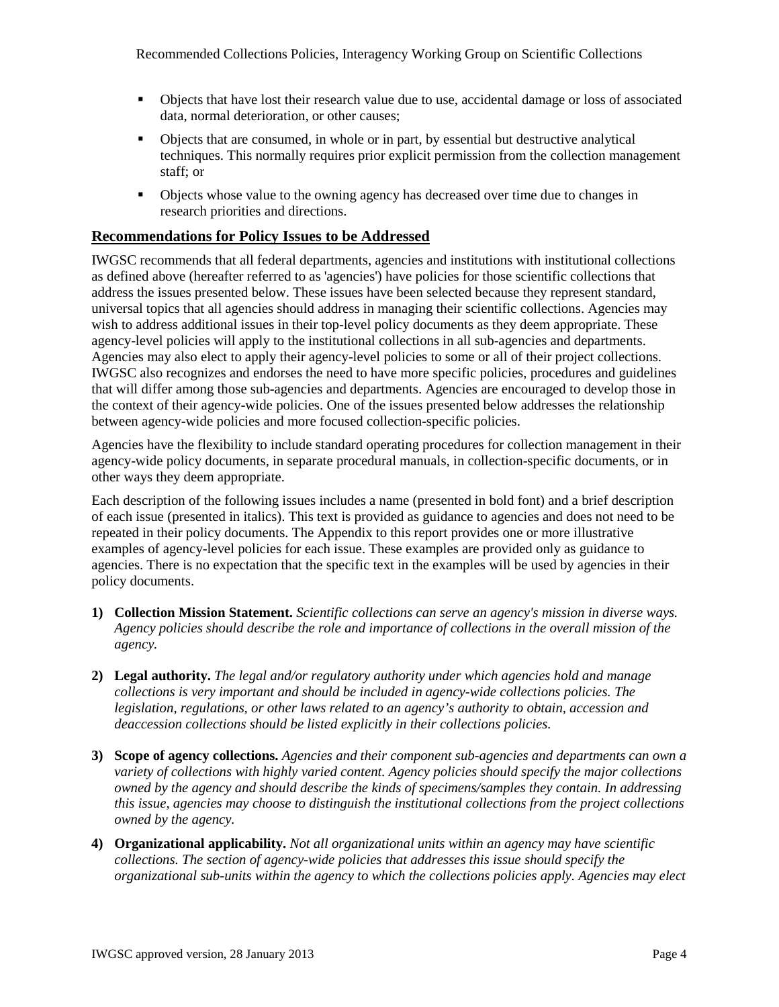- Objects that have lost their research value due to use, accidental damage or loss of associated data, normal deterioration, or other causes;
- Objects that are consumed, in whole or in part, by essential but destructive analytical techniques. This normally requires prior explicit permission from the collection management staff; or
- Objects whose value to the owning agency has decreased over time due to changes in research priorities and directions.

# **Recommendations for Policy Issues to be Addressed**

IWGSC recommends that all federal departments, agencies and institutions with institutional collections as defined above (hereafter referred to as 'agencies') have policies for those scientific collections that address the issues presented below. These issues have been selected because they represent standard, universal topics that all agencies should address in managing their scientific collections. Agencies may wish to address additional issues in their top-level policy documents as they deem appropriate. These agency-level policies will apply to the institutional collections in all sub-agencies and departments. Agencies may also elect to apply their agency-level policies to some or all of their project collections. IWGSC also recognizes and endorses the need to have more specific policies, procedures and guidelines that will differ among those sub-agencies and departments. Agencies are encouraged to develop those in the context of their agency-wide policies. One of the issues presented below addresses the relationship between agency-wide policies and more focused collection-specific policies.

Agencies have the flexibility to include standard operating procedures for collection management in their agency-wide policy documents, in separate procedural manuals, in collection-specific documents, or in other ways they deem appropriate.

Each description of the following issues includes a name (presented in bold font) and a brief description of each issue (presented in italics). This text is provided as guidance to agencies and does not need to be repeated in their policy documents. The Appendix to this report provides one or more illustrative examples of agency-level policies for each issue. These examples are provided only as guidance to agencies. There is no expectation that the specific text in the examples will be used by agencies in their policy documents.

- **1) Collection Mission Statement.** *Scientific collections can serve an agency's mission in diverse ways. Agency policies should describe the role and importance of collections in the overall mission of the agency.*
- **2) Legal authority.** *The legal and/or regulatory authority under which agencies hold and manage collections is very important and should be included in agency-wide collections policies. The legislation, regulations, or other laws related to an agency's authority to obtain, accession and deaccession collections should be listed explicitly in their collections policies.*
- **3) Scope of agency collections.** *Agencies and their component sub-agencies and departments can own a variety of collections with highly varied content. Agency policies should specify the major collections owned by the agency and should describe the kinds of specimens/samples they contain. In addressing this issue, agencies may choose to distinguish the institutional collections from the project collections owned by the agency.*
- **4) Organizational applicability.** *Not all organizational units within an agency may have scientific collections. The section of agency-wide policies that addresses this issue should specify the organizational sub-units within the agency to which the collections policies apply. Agencies may elect*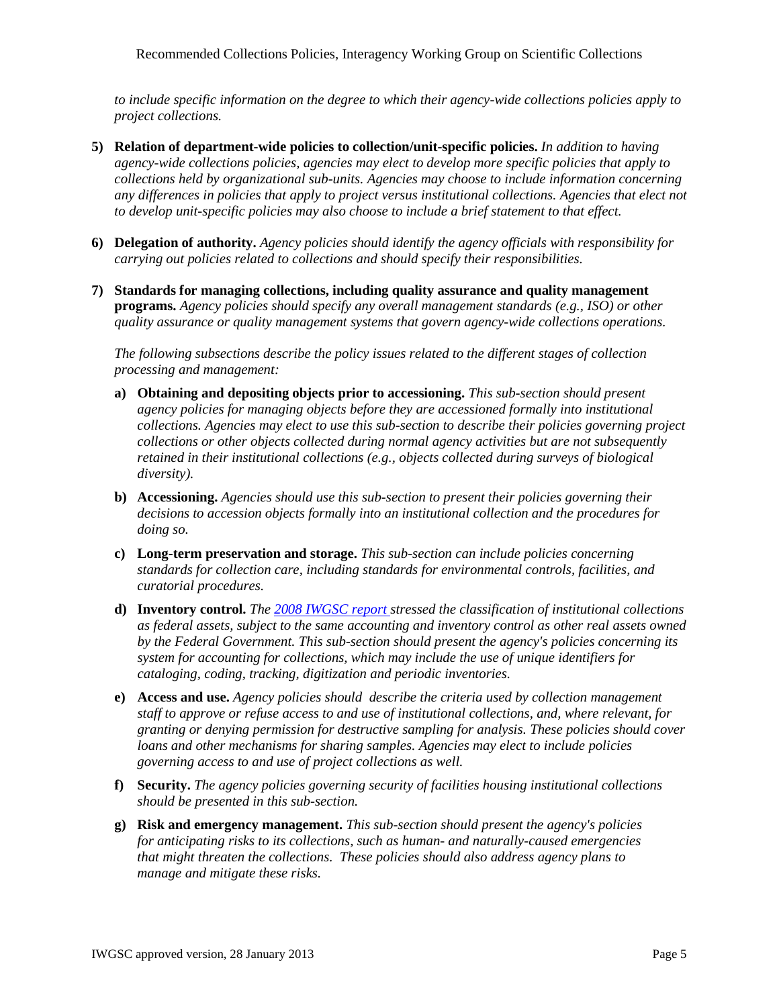*to include specific information on the degree to which their agency-wide collections policies apply to project collections.*

- **5) Relation of department-wide policies to collection/unit-specific policies.** *In addition to having agency-wide collections policies, agencies may elect to develop more specific policies that apply to collections held by organizational sub-units. Agencies may choose to include information concerning any differences in policies that apply to project versus institutional collections. Agencies that elect not to develop unit-specific policies may also choose to include a brief statement to that effect.*
- **6) Delegation of authority.** *Agency policies should identify the agency officials with responsibility for carrying out policies related to collections and should specify their responsibilities.*
- **7) Standards for managing collections, including quality assurance and quality management programs.** *Agency policies should specify any overall management standards (e.g., ISO) or other quality assurance or quality management systems that govern agency-wide collections operations.*

*The following subsections describe the policy issues related to the different stages of collection processing and management:*

- **a) Obtaining and depositing objects prior to accessioning.** *This sub-section should present agency policies for managing objects before they are accessioned formally into institutional collections. Agencies may elect to use this sub-section to describe their policies governing project collections or other objects collected during normal agency activities but are not subsequently retained in their institutional collections (e.g., objects collected during surveys of biological diversity).*
- **b) Accessioning.** *Agencies should use this sub-section to present their policies governing their decisions to accession objects formally into an institutional collection and the procedures for doing so.*
- **c) Long-term preservation and storage.** *This sub-section can include policies concerning standards for collection care, including standards for environmental controls, facilities, and curatorial procedures.*
- **d) Inventory control.** *The [2008 IWGSC report s](http://www.whitehouse.gov/sites/default/files/sci-collections-report-2009-rev2.pdf)tressed the classification of institutional collections as federal assets, subject to the same accounting and inventory control as other real assets owned by the Federal Government. This sub-section should present the agency's policies concerning its system for accounting for collections, which may include the use of unique identifiers for cataloging, coding, tracking, digitization and periodic inventories.*
- **e) Access and use.** *Agency policies should describe the criteria used by collection management staff to approve or refuse access to and use of institutional collections, and, where relevant, for granting or denying permission for destructive sampling for analysis. These policies should cover loans and other mechanisms for sharing samples. Agencies may elect to include policies governing access to and use of project collections as well.*
- **f) Security.** *The agency policies governing security of facilities housing institutional collections should be presented in this sub-section.*
- **g) Risk and emergency management.** *This sub-section should present the agency's policies for anticipating risks to its collections, such as human- and naturally-caused emergencies that might threaten the collections. These policies should also address agency plans to manage and mitigate these risks.*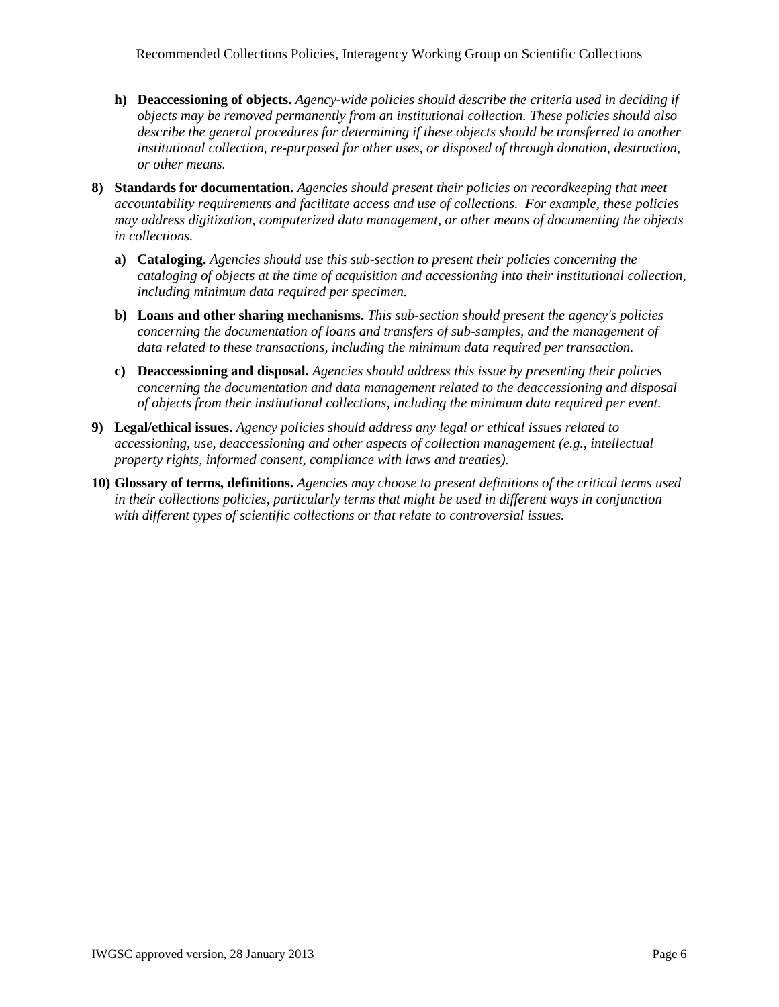- **h) Deaccessioning of objects.** *Agency-wide policies should describe the criteria used in deciding if objects may be removed permanently from an institutional collection. These policies should also describe the general procedures for determining if these objects should be transferred to another institutional collection, re-purposed for other uses, or disposed of through donation, destruction, or other means.*
- **8) Standards for documentation.** *Agencies should present their policies on recordkeeping that meet accountability requirements and facilitate access and use of collections. For example, these policies may address digitization, computerized data management, or other means of documenting the objects in collections.*
	- **a) Cataloging.** *Agencies should use this sub-section to present their policies concerning the cataloging of objects at the time of acquisition and accessioning into their institutional collection, including minimum data required per specimen.*
	- **b) Loans and other sharing mechanisms.** *This sub-section should present the agency's policies concerning the documentation of loans and transfers of sub-samples, and the management of data related to these transactions, including the minimum data required per transaction.*
	- **c) Deaccessioning and disposal.** *Agencies should address this issue by presenting their policies concerning the documentation and data management related to the deaccessioning and disposal of objects from their institutional collections, including the minimum data required per event.*
- **9) Legal/ethical issues.** *Agency policies should address any legal or ethical issues related to accessioning, use, deaccessioning and other aspects of collection management (e.g., intellectual property rights, informed consent, compliance with laws and treaties).*
- **10) Glossary of terms, definitions.** *Agencies may choose to present definitions of the critical terms used in their collections policies, particularly terms that might be used in different ways in conjunction with different types of scientific collections or that relate to controversial issues.*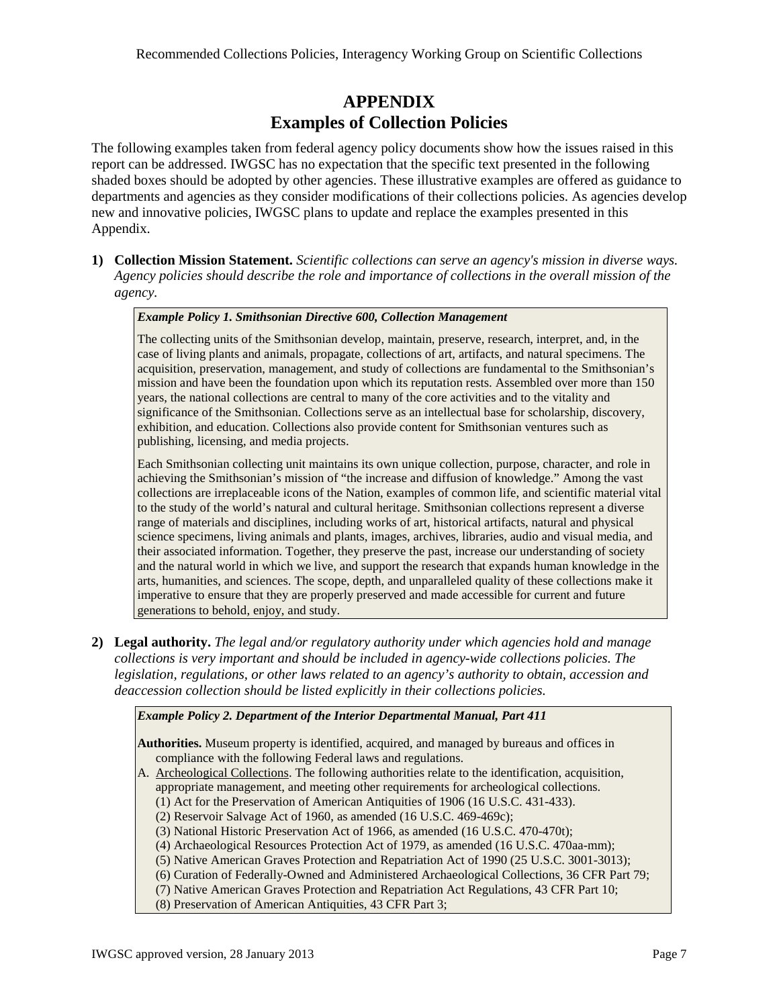# **APPENDIX Examples of Collection Policies**

The following examples taken from federal agency policy documents show how the issues raised in this report can be addressed. IWGSC has no expectation that the specific text presented in the following shaded boxes should be adopted by other agencies. These illustrative examples are offered as guidance to departments and agencies as they consider modifications of their collections policies. As agencies develop new and innovative policies, IWGSC plans to update and replace the examples presented in this Appendix.

**1) Collection Mission Statement.** *Scientific collections can serve an agency's mission in diverse ways. Agency policies should describe the role and importance of collections in the overall mission of the agency.*

# *Example Policy 1. Smithsonian Directive 600, Collection Management*

The collecting units of the Smithsonian develop, maintain, preserve, research, interpret, and, in the case of living plants and animals, propagate, collections of art, artifacts, and natural specimens. The acquisition, preservation, management, and study of collections are fundamental to the Smithsonian's mission and have been the foundation upon which its reputation rests. Assembled over more than 150 years, the national collections are central to many of the core activities and to the vitality and significance of the Smithsonian. Collections serve as an intellectual base for scholarship, discovery, exhibition, and education. Collections also provide content for Smithsonian ventures such as publishing, licensing, and media projects.

Each Smithsonian collecting unit maintains its own unique collection, purpose, character, and role in achieving the Smithsonian's mission of "the increase and diffusion of knowledge." Among the vast collections are irreplaceable icons of the Nation, examples of common life, and scientific material vital to the study of the world's natural and cultural heritage. Smithsonian collections represent a diverse range of materials and disciplines, including works of art, historical artifacts, natural and physical science specimens, living animals and plants, images, archives, libraries, audio and visual media, and their associated information. Together, they preserve the past, increase our understanding of society and the natural world in which we live, and support the research that expands human knowledge in the arts, humanities, and sciences. The scope, depth, and unparalleled quality of these collections make it imperative to ensure that they are properly preserved and made accessible for current and future generations to behold, enjoy, and study.

**2) Legal authority.** *The legal and/or regulatory authority under which agencies hold and manage collections is very important and should be included in agency-wide collections policies. The legislation, regulations, or other laws related to an agency's authority to obtain, accession and deaccession collection should be listed explicitly in their collections policies.*

# *Example Policy 2. Department of the Interior Departmental Manual, Part 411*

**Authorities.** Museum property is identified, acquired, and managed by bureaus and offices in compliance with the following Federal laws and regulations.

- A. Archeological Collections. The following authorities relate to the identification, acquisition, appropriate management, and meeting other requirements for archeological collections.
	- (1) Act for the Preservation of American Antiquities of 1906 (16 U.S.C. 431-433).
	- (2) Reservoir Salvage Act of 1960, as amended (16 U.S.C. 469-469c);
	- (3) National Historic Preservation Act of 1966, as amended (16 U.S.C. 470-470t);
	- (4) Archaeological Resources Protection Act of 1979, as amended (16 U.S.C. 470aa-mm);
	- (5) Native American Graves Protection and Repatriation Act of 1990 (25 U.S.C. 3001-3013);
	- (6) Curation of Federally-Owned and Administered Archaeological Collections, 36 CFR Part 79;
	- (7) Native American Graves Protection and Repatriation Act Regulations, 43 CFR Part 10;
	- (8) Preservation of American Antiquities, 43 CFR Part 3;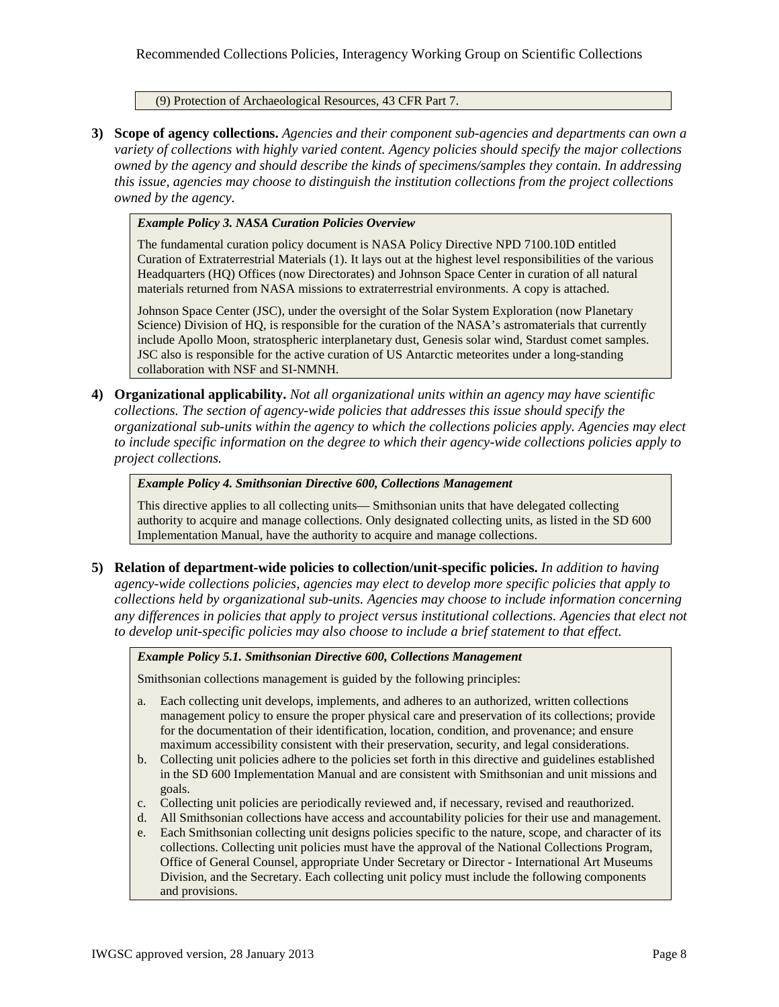(9) Protection of Archaeological Resources, 43 CFR Part 7.

**3) Scope of agency collections.** *Agencies and their component sub-agencies and departments can own a variety of collections with highly varied content. Agency policies should specify the major collections owned by the agency and should describe the kinds of specimens/samples they contain. In addressing this issue, agencies may choose to distinguish the institution collections from the project collections owned by the agency.*

*Example Policy 3. NASA Curation Policies Overview*

The fundamental curation policy document is NASA Policy Directive NPD 7100.10D entitled Curation of Extraterrestrial Materials (1). It lays out at the highest level responsibilities of the various Headquarters (HQ) Offices (now Directorates) and Johnson Space Center in curation of all natural materials returned from NASA missions to extraterrestrial environments. A copy is attached.

Johnson Space Center (JSC), under the oversight of the Solar System Exploration (now Planetary Science) Division of HQ, is responsible for the curation of the NASA's astromaterials that currently include Apollo Moon, stratospheric interplanetary dust, Genesis solar wind, Stardust comet samples. JSC also is responsible for the active curation of US Antarctic meteorites under a long-standing collaboration with NSF and SI-NMNH.

**4) Organizational applicability.** *Not all organizational units within an agency may have scientific collections. The section of agency-wide policies that addresses this issue should specify the organizational sub-units within the agency to which the collections policies apply. Agencies may elect to include specific information on the degree to which their agency-wide collections policies apply to project collections.*

*Example Policy 4. Smithsonian Directive 600, Collections Management*

This directive applies to all collecting units— Smithsonian units that have delegated collecting authority to acquire and manage collections. Only designated collecting units, as listed in the SD 600 Implementation Manual, have the authority to acquire and manage collections.

**5) Relation of department-wide policies to collection/unit-specific policies.** *In addition to having agency-wide collections policies, agencies may elect to develop more specific policies that apply to collections held by organizational sub-units. Agencies may choose to include information concerning any differences in policies that apply to project versus institutional collections. Agencies that elect not to develop unit-specific policies may also choose to include a brief statement to that effect.*

*Example Policy 5.1. Smithsonian Directive 600, Collections Management*

Smithsonian collections management is guided by the following principles:

- a. Each collecting unit develops, implements, and adheres to an authorized, written collections management policy to ensure the proper physical care and preservation of its collections; provide for the documentation of their identification, location, condition, and provenance; and ensure maximum accessibility consistent with their preservation, security, and legal considerations.
- b. Collecting unit policies adhere to the policies set forth in this directive and guidelines established in the SD 600 Implementation Manual and are consistent with Smithsonian and unit missions and goals.
- c. Collecting unit policies are periodically reviewed and, if necessary, revised and reauthorized.
- d. All Smithsonian collections have access and accountability policies for their use and management.
- e. Each Smithsonian collecting unit designs policies specific to the nature, scope, and character of its collections. Collecting unit policies must have the approval of the National Collections Program, Office of General Counsel, appropriate Under Secretary or Director - International Art Museums Division, and the Secretary. Each collecting unit policy must include the following components and provisions.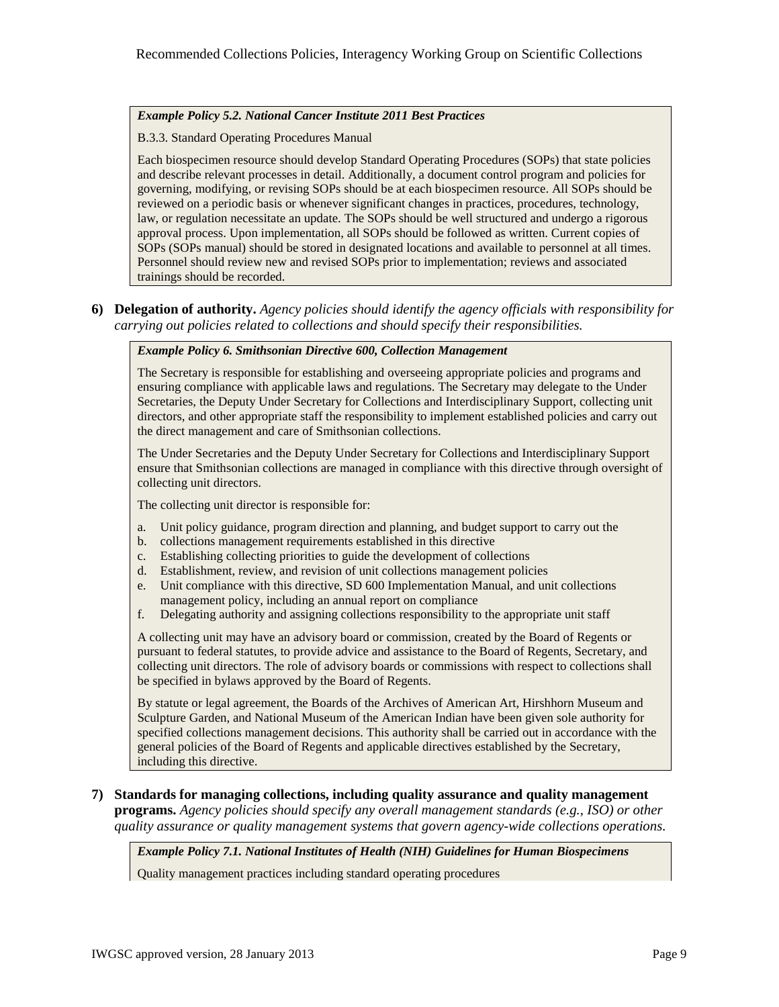## *Example Policy 5.2. National Cancer Institute 2011 Best Practices*

#### B.3.3. Standard Operating Procedures Manual

Each biospecimen resource should develop Standard Operating Procedures (SOPs) that state policies and describe relevant processes in detail. Additionally, a document control program and policies for governing, modifying, or revising SOPs should be at each biospecimen resource. All SOPs should be reviewed on a periodic basis or whenever significant changes in practices, procedures, technology, law, or regulation necessitate an update. The SOPs should be well structured and undergo a rigorous approval process. Upon implementation, all SOPs should be followed as written. Current copies of SOPs (SOPs manual) should be stored in designated locations and available to personnel at all times. Personnel should review new and revised SOPs prior to implementation; reviews and associated trainings should be recorded.

**6) Delegation of authority.** *Agency policies should identify the agency officials with responsibility for carrying out policies related to collections and should specify their responsibilities.*

# *Example Policy 6. Smithsonian Directive 600, Collection Management*

The Secretary is responsible for establishing and overseeing appropriate policies and programs and ensuring compliance with applicable laws and regulations. The Secretary may delegate to the Under Secretaries, the Deputy Under Secretary for Collections and Interdisciplinary Support, collecting unit directors, and other appropriate staff the responsibility to implement established policies and carry out the direct management and care of Smithsonian collections.

The Under Secretaries and the Deputy Under Secretary for Collections and Interdisciplinary Support ensure that Smithsonian collections are managed in compliance with this directive through oversight of collecting unit directors.

The collecting unit director is responsible for:

- a. Unit policy guidance, program direction and planning, and budget support to carry out the
- b. collections management requirements established in this directive
- c. Establishing collecting priorities to guide the development of collections
- d. Establishment, review, and revision of unit collections management policies
- e. Unit compliance with this directive, SD 600 Implementation Manual, and unit collections management policy, including an annual report on compliance
- f. Delegating authority and assigning collections responsibility to the appropriate unit staff

A collecting unit may have an advisory board or commission, created by the Board of Regents or pursuant to federal statutes, to provide advice and assistance to the Board of Regents, Secretary, and collecting unit directors. The role of advisory boards or commissions with respect to collections shall be specified in bylaws approved by the Board of Regents.

By statute or legal agreement, the Boards of the Archives of American Art, Hirshhorn Museum and Sculpture Garden, and National Museum of the American Indian have been given sole authority for specified collections management decisions. This authority shall be carried out in accordance with the general policies of the Board of Regents and applicable directives established by the Secretary, including this directive.

**7) Standards for managing collections, including quality assurance and quality management programs.** *Agency policies should specify any overall management standards (e.g., ISO) or other quality assurance or quality management systems that govern agency-wide collections operations.* 

*Example Policy 7.1. National Institutes of Health (NIH) Guidelines for Human Biospecimens*

Quality management practices including standard operating procedures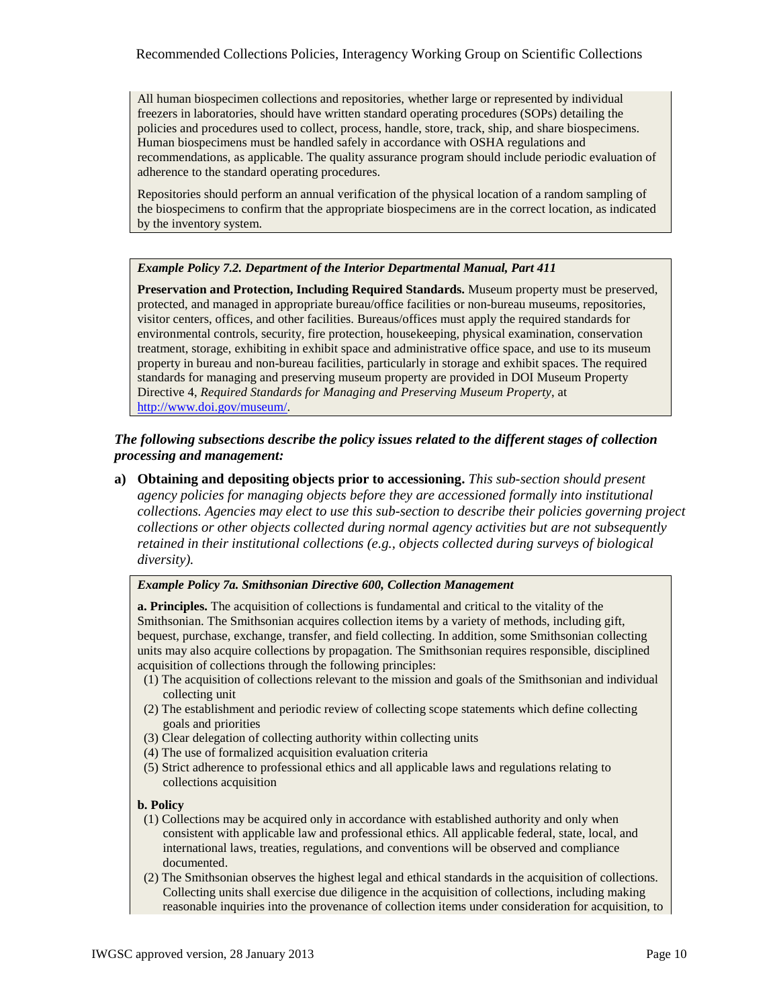All human biospecimen collections and repositories, whether large or represented by individual freezers in laboratories, should have written standard operating procedures (SOPs) detailing the policies and procedures used to collect, process, handle, store, track, ship, and share biospecimens. Human biospecimens must be handled safely in accordance with OSHA regulations and recommendations, as applicable. The quality assurance program should include periodic evaluation of adherence to the standard operating procedures.

Repositories should perform an annual verification of the physical location of a random sampling of the biospecimens to confirm that the appropriate biospecimens are in the correct location, as indicated by the inventory system.

## *Example Policy 7.2. Department of the Interior Departmental Manual, Part 411*

**Preservation and Protection, Including Required Standards.** Museum property must be preserved, protected, and managed in appropriate bureau/office facilities or non-bureau museums, repositories, visitor centers, offices, and other facilities. Bureaus/offices must apply the required standards for environmental controls, security, fire protection, housekeeping, physical examination, conservation treatment, storage, exhibiting in exhibit space and administrative office space, and use to its museum property in bureau and non-bureau facilities, particularly in storage and exhibit spaces. The required standards for managing and preserving museum property are provided in DOI Museum Property Directive 4, *Required Standards for Managing and Preserving Museum Property*, at [http://www.doi.gov/museum/.](http://www.doi.gov/museum/)

# *The following subsections describe the policy issues related to the different stages of collection processing and management:*

**a) Obtaining and depositing objects prior to accessioning.** *This sub-section should present agency policies for managing objects before they are accessioned formally into institutional collections. Agencies may elect to use this sub-section to describe their policies governing project collections or other objects collected during normal agency activities but are not subsequently retained in their institutional collections (e.g., objects collected during surveys of biological diversity).*

#### *Example Policy 7a. Smithsonian Directive 600, Collection Management*

**a. Principles.** The acquisition of collections is fundamental and critical to the vitality of the Smithsonian. The Smithsonian acquires collection items by a variety of methods, including gift, bequest, purchase, exchange, transfer, and field collecting. In addition, some Smithsonian collecting units may also acquire collections by propagation. The Smithsonian requires responsible, disciplined acquisition of collections through the following principles:

- (1) The acquisition of collections relevant to the mission and goals of the Smithsonian and individual collecting unit
- (2) The establishment and periodic review of collecting scope statements which define collecting goals and priorities
- (3) Clear delegation of collecting authority within collecting units
- (4) The use of formalized acquisition evaluation criteria
- (5) Strict adherence to professional ethics and all applicable laws and regulations relating to collections acquisition

- (1) Collections may be acquired only in accordance with established authority and only when consistent with applicable law and professional ethics. All applicable federal, state, local, and international laws, treaties, regulations, and conventions will be observed and compliance documented.
- (2) The Smithsonian observes the highest legal and ethical standards in the acquisition of collections. Collecting units shall exercise due diligence in the acquisition of collections, including making reasonable inquiries into the provenance of collection items under consideration for acquisition, to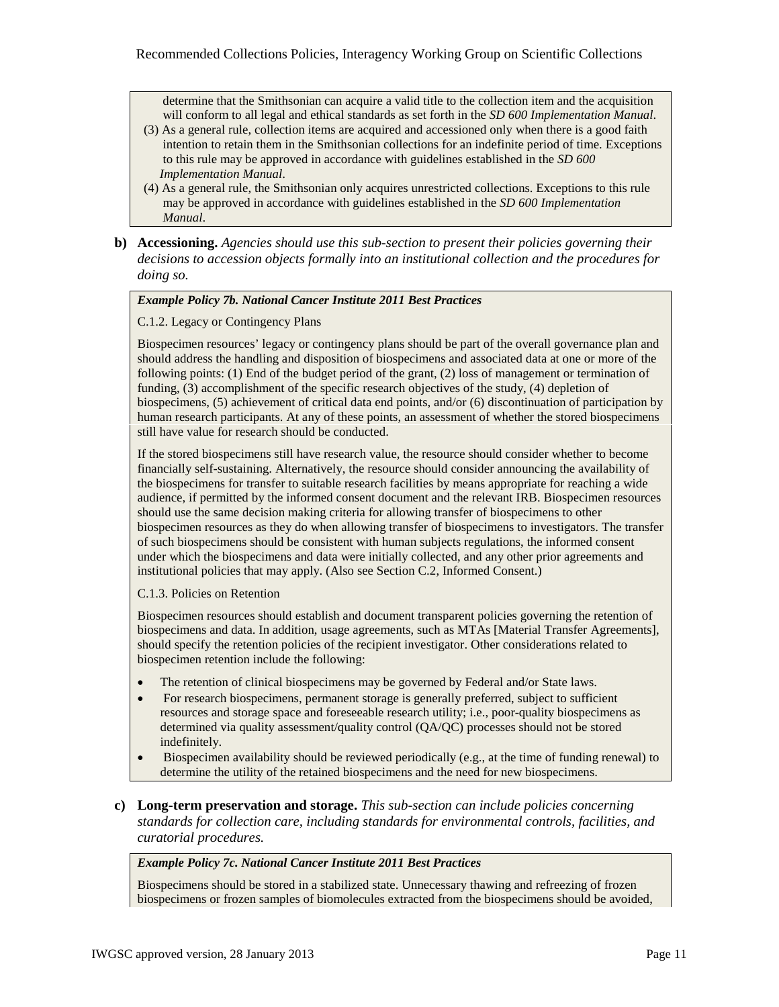determine that the Smithsonian can acquire a valid title to the collection item and the acquisition will conform to all legal and ethical standards as set forth in the *SD 600 Implementation Manual*.

- (3) As a general rule, collection items are acquired and accessioned only when there is a good faith intention to retain them in the Smithsonian collections for an indefinite period of time. Exceptions to this rule may be approved in accordance with guidelines established in the *SD 600 Implementation Manual*.
- (4) As a general rule, the Smithsonian only acquires unrestricted collections. Exceptions to this rule may be approved in accordance with guidelines established in the *SD 600 Implementation Manual*.
- **b) Accessioning.** *Agencies should use this sub-section to present their policies governing their decisions to accession objects formally into an institutional collection and the procedures for doing so.*

#### *Example Policy 7b. National Cancer Institute 2011 Best Practices*

#### C.1.2. Legacy or Contingency Plans

Biospecimen resources' legacy or contingency plans should be part of the overall governance plan and should address the handling and disposition of biospecimens and associated data at one or more of the following points: (1) End of the budget period of the grant, (2) loss of management or termination of funding, (3) accomplishment of the specific research objectives of the study, (4) depletion of biospecimens, (5) achievement of critical data end points, and/or (6) discontinuation of participation by human research participants. At any of these points, an assessment of whether the stored biospecimens still have value for research should be conducted.

If the stored biospecimens still have research value, the resource should consider whether to become financially self-sustaining. Alternatively, the resource should consider announcing the availability of the biospecimens for transfer to suitable research facilities by means appropriate for reaching a wide audience, if permitted by the informed consent document and the relevant IRB. Biospecimen resources should use the same decision making criteria for allowing transfer of biospecimens to other biospecimen resources as they do when allowing transfer of biospecimens to investigators. The transfer of such biospecimens should be consistent with human subjects regulations, the informed consent under which the biospecimens and data were initially collected, and any other prior agreements and institutional policies that may apply. (Also see Section C.2, Informed Consent.)

#### C.1.3. Policies on Retention

Biospecimen resources should establish and document transparent policies governing the retention of biospecimens and data. In addition, usage agreements, such as MTAs [Material Transfer Agreements], should specify the retention policies of the recipient investigator. Other considerations related to biospecimen retention include the following:

- The retention of clinical biospecimens may be governed by Federal and/or State laws.
- For research biospecimens, permanent storage is generally preferred, subject to sufficient resources and storage space and foreseeable research utility; i.e., poor-quality biospecimens as determined via quality assessment/quality control (QA/QC) processes should not be stored indefinitely.
- Biospecimen availability should be reviewed periodically (e.g., at the time of funding renewal) to determine the utility of the retained biospecimens and the need for new biospecimens.
- **c) Long-term preservation and storage.** *This sub-section can include policies concerning standards for collection care, including standards for environmental controls, facilities, and curatorial procedures.*

#### *Example Policy 7c. National Cancer Institute 2011 Best Practices*

Biospecimens should be stored in a stabilized state. Unnecessary thawing and refreezing of frozen biospecimens or frozen samples of biomolecules extracted from the biospecimens should be avoided,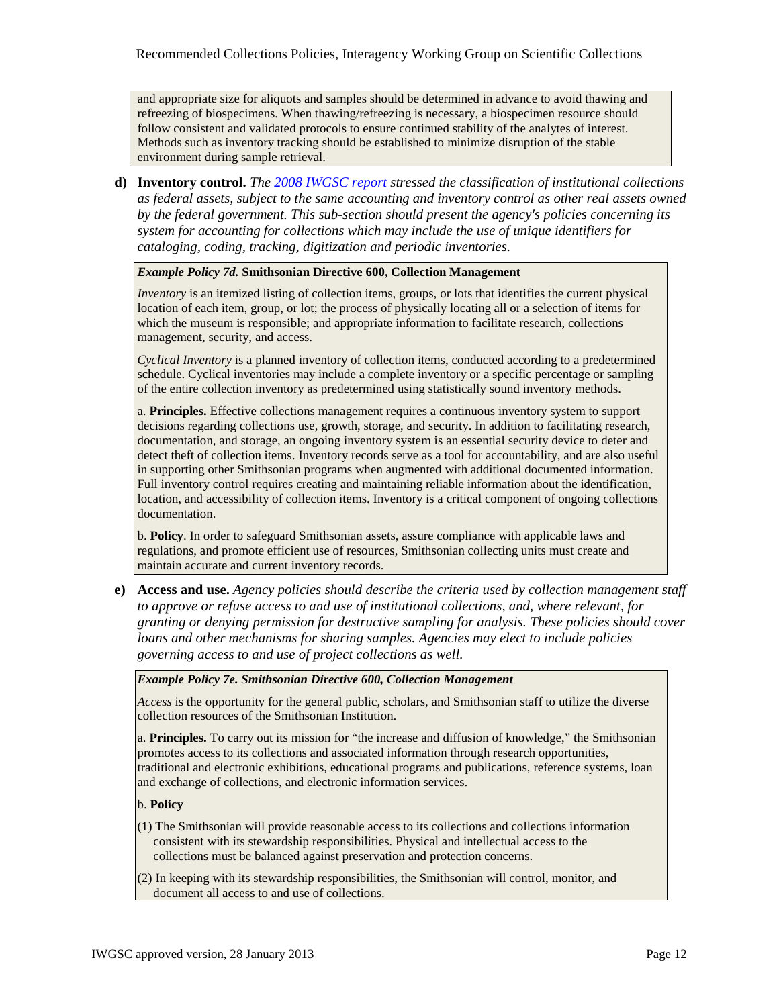and appropriate size for aliquots and samples should be determined in advance to avoid thawing and refreezing of biospecimens. When thawing/refreezing is necessary, a biospecimen resource should follow consistent and validated protocols to ensure continued stability of the analytes of interest. Methods such as inventory tracking should be established to minimize disruption of the stable environment during sample retrieval.

**d) Inventory control.** *The [2008 IWGSC report s](http://www.whitehouse.gov/sites/default/files/sci-collections-report-2009-rev2.pdf)tressed the classification of institutional collections as federal assets, subject to the same accounting and inventory control as other real assets owned by the federal government. This sub-section should present the agency's policies concerning its system for accounting for collections which may include the use of unique identifiers for cataloging, coding, tracking, digitization and periodic inventories.*

*Example Policy 7d.* **Smithsonian Directive 600, Collection Management**

*Inventory* is an itemized listing of collection items, groups, or lots that identifies the current physical location of each item, group, or lot; the process of physically locating all or a selection of items for which the museum is responsible; and appropriate information to facilitate research, collections management, security, and access.

*Cyclical Inventory* is a planned inventory of collection items, conducted according to a predetermined schedule. Cyclical inventories may include a complete inventory or a specific percentage or sampling of the entire collection inventory as predetermined using statistically sound inventory methods.

a. **Principles.** Effective collections management requires a continuous inventory system to support decisions regarding collections use, growth, storage, and security. In addition to facilitating research, documentation, and storage, an ongoing inventory system is an essential security device to deter and detect theft of collection items. Inventory records serve as a tool for accountability, and are also useful in supporting other Smithsonian programs when augmented with additional documented information. Full inventory control requires creating and maintaining reliable information about the identification, location, and accessibility of collection items. Inventory is a critical component of ongoing collections documentation.

b. **Policy**. In order to safeguard Smithsonian assets, assure compliance with applicable laws and regulations, and promote efficient use of resources, Smithsonian collecting units must create and maintain accurate and current inventory records.

**e) Access and use.** *Agency policies should describe the criteria used by collection management staff to approve or refuse access to and use of institutional collections, and, where relevant, for granting or denying permission for destructive sampling for analysis. These policies should cover loans and other mechanisms for sharing samples. Agencies may elect to include policies governing access to and use of project collections as well.*

## *Example Policy 7e. Smithsonian Directive 600, Collection Management*

*Access* is the opportunity for the general public, scholars, and Smithsonian staff to utilize the diverse collection resources of the Smithsonian Institution.

a. **Principles.** To carry out its mission for "the increase and diffusion of knowledge," the Smithsonian promotes access to its collections and associated information through research opportunities, traditional and electronic exhibitions, educational programs and publications, reference systems, loan and exchange of collections, and electronic information services.

- (1) The Smithsonian will provide reasonable access to its collections and collections information consistent with its stewardship responsibilities. Physical and intellectual access to the collections must be balanced against preservation and protection concerns.
- (2) In keeping with its stewardship responsibilities, the Smithsonian will control, monitor, and document all access to and use of collections.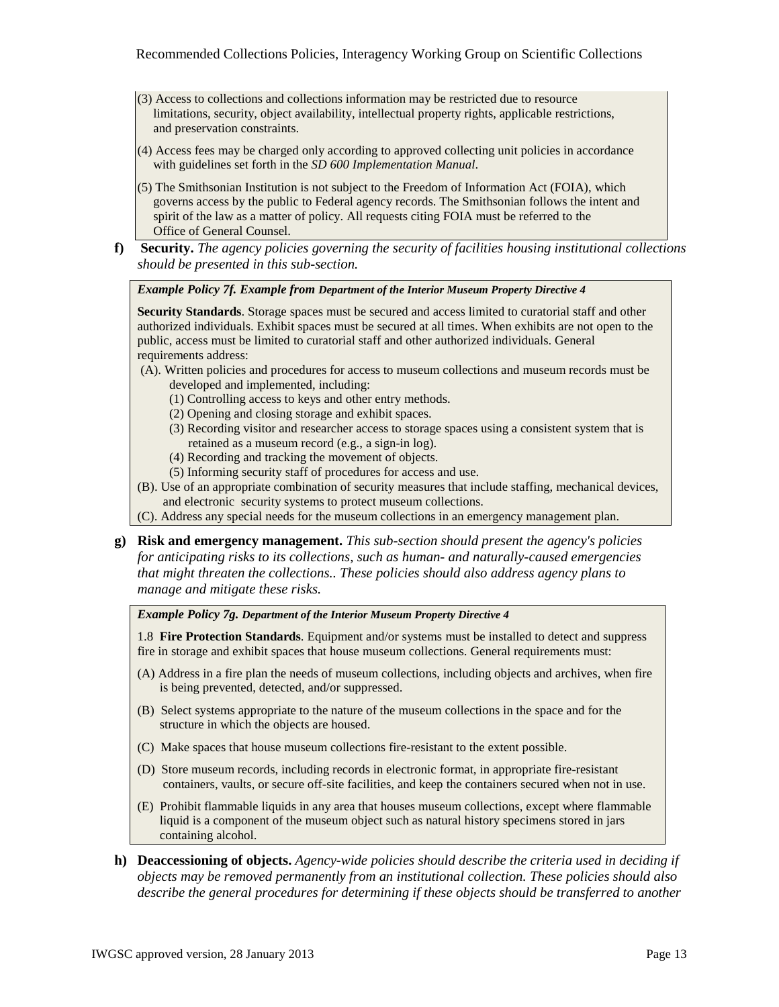- (3) Access to collections and collections information may be restricted due to resource limitations, security, object availability, intellectual property rights, applicable restrictions, and preservation constraints.
- (4) Access fees may be charged only according to approved collecting unit policies in accordance with guidelines set forth in the *SD 600 Implementation Manual*.
- (5) The Smithsonian Institution is not subject to the Freedom of Information Act (FOIA), which governs access by the public to Federal agency records. The Smithsonian follows the intent and spirit of the law as a matter of policy. All requests citing FOIA must be referred to the Office of General Counsel.
- **f) Security.** *The agency policies governing the security of facilities housing institutional collections should be presented in this sub-section.*

*Example Policy 7f. Example from Department of the Interior Museum Property Directive 4*

**Security Standards**. Storage spaces must be secured and access limited to curatorial staff and other authorized individuals. Exhibit spaces must be secured at all times. When exhibits are not open to the public, access must be limited to curatorial staff and other authorized individuals. General requirements address:

- (A). Written policies and procedures for access to museum collections and museum records must be developed and implemented, including:
	- (1) Controlling access to keys and other entry methods.
	- (2) Opening and closing storage and exhibit spaces.
	- (3) Recording visitor and researcher access to storage spaces using a consistent system that is retained as a museum record (e.g., a sign-in log).
	- (4) Recording and tracking the movement of objects.
	- (5) Informing security staff of procedures for access and use.
- (B). Use of an appropriate combination of security measures that include staffing, mechanical devices, and electronic security systems to protect museum collections.
- (C). Address any special needs for the museum collections in an emergency management plan.
- **g) Risk and emergency management.** *This sub-section should present the agency's policies for anticipating risks to its collections, such as human- and naturally-caused emergencies that might threaten the collections.. These policies should also address agency plans to manage and mitigate these risks.*

*Example Policy 7g. Department of the Interior Museum Property Directive 4* 

1.8 **Fire Protection Standards**. Equipment and/or systems must be installed to detect and suppress fire in storage and exhibit spaces that house museum collections. General requirements must:

- (A) Address in a fire plan the needs of museum collections, including objects and archives, when fire is being prevented, detected, and/or suppressed.
- (B) Select systems appropriate to the nature of the museum collections in the space and for the structure in which the objects are housed.
- (C) Make spaces that house museum collections fire-resistant to the extent possible.
- (D) Store museum records, including records in electronic format, in appropriate fire-resistant containers, vaults, or secure off-site facilities, and keep the containers secured when not in use.
- (E) Prohibit flammable liquids in any area that houses museum collections, except where flammable liquid is a component of the museum object such as natural history specimens stored in jars containing alcohol.
- **h) Deaccessioning of objects.** *Agency-wide policies should describe the criteria used in deciding if objects may be removed permanently from an institutional collection. These policies should also describe the general procedures for determining if these objects should be transferred to another*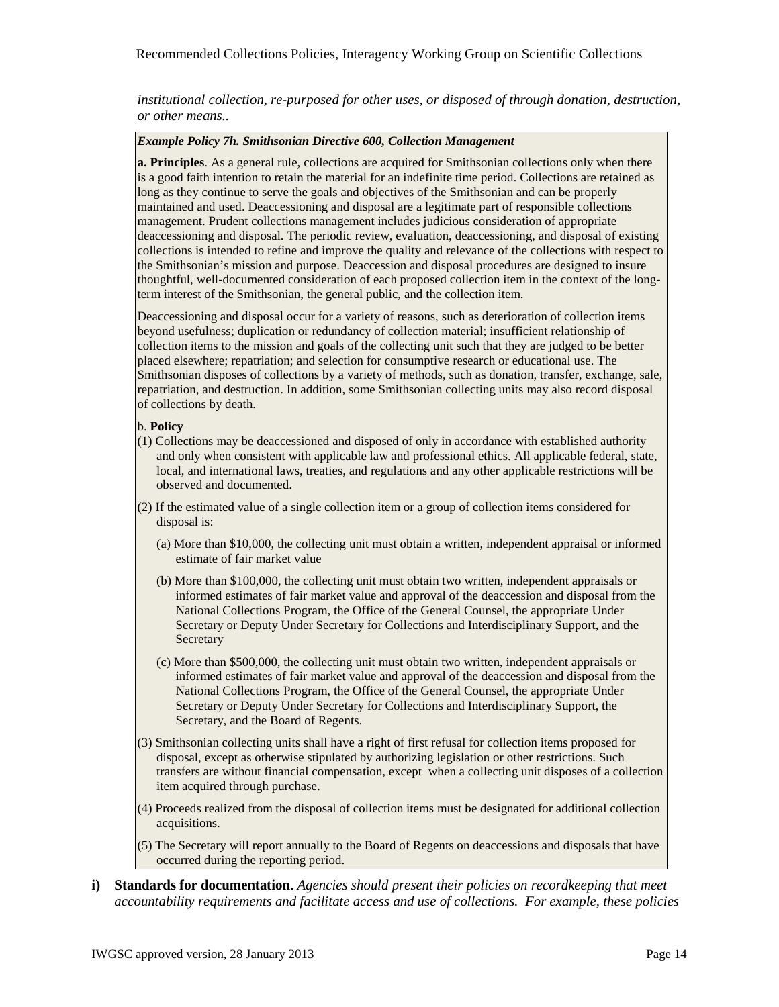*institutional collection, re-purposed for other uses, or disposed of through donation, destruction, or other means..*

# *Example Policy 7h. Smithsonian Directive 600, Collection Management*

**a. Principles**. As a general rule, collections are acquired for Smithsonian collections only when there is a good faith intention to retain the material for an indefinite time period. Collections are retained as long as they continue to serve the goals and objectives of the Smithsonian and can be properly maintained and used. Deaccessioning and disposal are a legitimate part of responsible collections management. Prudent collections management includes judicious consideration of appropriate deaccessioning and disposal. The periodic review, evaluation, deaccessioning, and disposal of existing collections is intended to refine and improve the quality and relevance of the collections with respect to the Smithsonian's mission and purpose. Deaccession and disposal procedures are designed to insure thoughtful, well-documented consideration of each proposed collection item in the context of the longterm interest of the Smithsonian, the general public, and the collection item.

Deaccessioning and disposal occur for a variety of reasons, such as deterioration of collection items beyond usefulness; duplication or redundancy of collection material; insufficient relationship of collection items to the mission and goals of the collecting unit such that they are judged to be better placed elsewhere; repatriation; and selection for consumptive research or educational use. The Smithsonian disposes of collections by a variety of methods, such as donation, transfer, exchange, sale, repatriation, and destruction. In addition, some Smithsonian collecting units may also record disposal of collections by death.

- (1) Collections may be deaccessioned and disposed of only in accordance with established authority and only when consistent with applicable law and professional ethics. All applicable federal, state, local, and international laws, treaties, and regulations and any other applicable restrictions will be observed and documented.
- (2) If the estimated value of a single collection item or a group of collection items considered for disposal is:
	- (a) More than \$10,000, the collecting unit must obtain a written, independent appraisal or informed estimate of fair market value
	- (b) More than \$100,000, the collecting unit must obtain two written, independent appraisals or informed estimates of fair market value and approval of the deaccession and disposal from the National Collections Program, the Office of the General Counsel, the appropriate Under Secretary or Deputy Under Secretary for Collections and Interdisciplinary Support, and the **Secretary**
	- (c) More than \$500,000, the collecting unit must obtain two written, independent appraisals or informed estimates of fair market value and approval of the deaccession and disposal from the National Collections Program, the Office of the General Counsel, the appropriate Under Secretary or Deputy Under Secretary for Collections and Interdisciplinary Support, the Secretary, and the Board of Regents.
- (3) Smithsonian collecting units shall have a right of first refusal for collection items proposed for disposal, except as otherwise stipulated by authorizing legislation or other restrictions. Such transfers are without financial compensation, except when a collecting unit disposes of a collection item acquired through purchase.
- (4) Proceeds realized from the disposal of collection items must be designated for additional collection acquisitions.
- (5) The Secretary will report annually to the Board of Regents on deaccessions and disposals that have occurred during the reporting period.
- **i) Standards for documentation.** *Agencies should present their policies on recordkeeping that meet accountability requirements and facilitate access and use of collections. For example, these policies*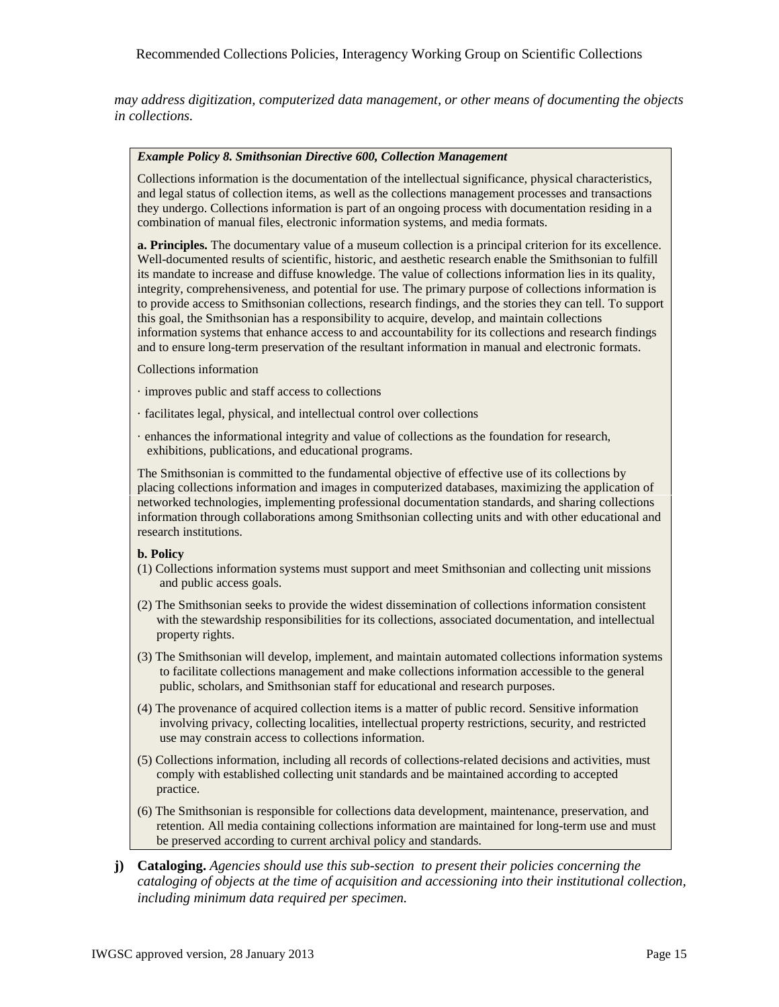# Recommended Collections Policies, Interagency Working Group on Scientific Collections

*may address digitization, computerized data management, or other means of documenting the objects in collections.*

#### *Example Policy 8. Smithsonian Directive 600, Collection Management*

Collections information is the documentation of the intellectual significance, physical characteristics, and legal status of collection items, as well as the collections management processes and transactions they undergo. Collections information is part of an ongoing process with documentation residing in a combination of manual files, electronic information systems, and media formats.

**a. Principles.** The documentary value of a museum collection is a principal criterion for its excellence. Well-documented results of scientific, historic, and aesthetic research enable the Smithsonian to fulfill its mandate to increase and diffuse knowledge. The value of collections information lies in its quality, integrity, comprehensiveness, and potential for use. The primary purpose of collections information is to provide access to Smithsonian collections, research findings, and the stories they can tell. To support this goal, the Smithsonian has a responsibility to acquire, develop, and maintain collections information systems that enhance access to and accountability for its collections and research findings and to ensure long-term preservation of the resultant information in manual and electronic formats.

#### Collections information

- · improves public and staff access to collections
- · facilitates legal, physical, and intellectual control over collections
- · enhances the informational integrity and value of collections as the foundation for research, exhibitions, publications, and educational programs.

The Smithsonian is committed to the fundamental objective of effective use of its collections by placing collections information and images in computerized databases, maximizing the application of networked technologies, implementing professional documentation standards, and sharing collections information through collaborations among Smithsonian collecting units and with other educational and research institutions.

- (1) Collections information systems must support and meet Smithsonian and collecting unit missions and public access goals.
- (2) The Smithsonian seeks to provide the widest dissemination of collections information consistent with the stewardship responsibilities for its collections, associated documentation, and intellectual property rights.
- (3) The Smithsonian will develop, implement, and maintain automated collections information systems to facilitate collections management and make collections information accessible to the general public, scholars, and Smithsonian staff for educational and research purposes.
- (4) The provenance of acquired collection items is a matter of public record. Sensitive information involving privacy, collecting localities, intellectual property restrictions, security, and restricted use may constrain access to collections information.
- (5) Collections information, including all records of collections-related decisions and activities, must comply with established collecting unit standards and be maintained according to accepted practice.
- (6) The Smithsonian is responsible for collections data development, maintenance, preservation, and retention. All media containing collections information are maintained for long-term use and must be preserved according to current archival policy and standards.
- **j) Cataloging.** *Agencies should use this sub-section to present their policies concerning the cataloging of objects at the time of acquisition and accessioning into their institutional collection, including minimum data required per specimen.*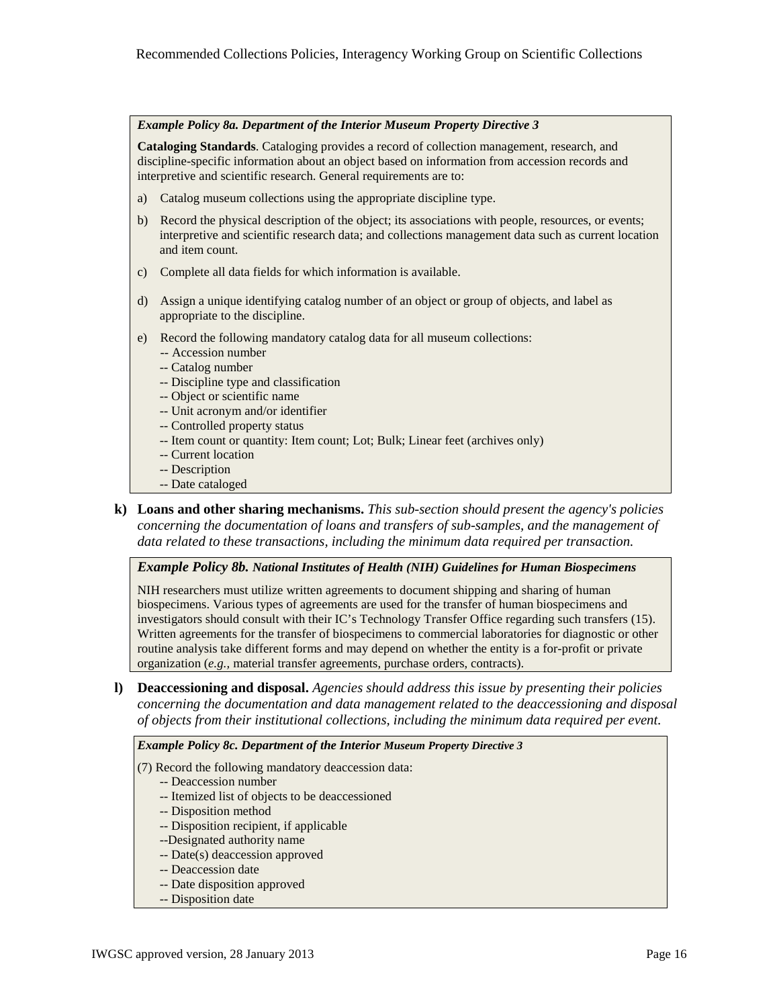#### *Example Policy 8a. Department of the Interior Museum Property Directive 3*

**Cataloging Standards**. Cataloging provides a record of collection management, research, and discipline-specific information about an object based on information from accession records and interpretive and scientific research. General requirements are to:

- a) Catalog museum collections using the appropriate discipline type.
- b) Record the physical description of the object; its associations with people, resources, or events; interpretive and scientific research data; and collections management data such as current location and item count.
- c) Complete all data fields for which information is available.
- d) Assign a unique identifying catalog number of an object or group of objects, and label as appropriate to the discipline.
- e) Record the following mandatory catalog data for all museum collections:
	- -- Accession number
	- -- Catalog number
	- -- Discipline type and classification
	- -- Object or scientific name
	- -- Unit acronym and/or identifier
	- -- Controlled property status
	- -- Item count or quantity: Item count; Lot; Bulk; Linear feet (archives only)
	- -- Current location
	- -- Description
	- -- Date cataloged
- **k) Loans and other sharing mechanisms.** *This sub-section should present the agency's policies concerning the documentation of loans and transfers of sub-samples, and the management of data related to these transactions, including the minimum data required per transaction.*

*Example Policy 8b. National Institutes of Health (NIH) Guidelines for Human Biospecimens* 

NIH researchers must utilize written agreements to document shipping and sharing of human biospecimens. Various types of agreements are used for the transfer of human biospecimens and investigators should consult with their IC's Technology Transfer Office regarding such transfers (15). Written agreements for the transfer of biospecimens to commercial laboratories for diagnostic or other routine analysis take different forms and may depend on whether the entity is a for-profit or private organization (*e.g.,* material transfer agreements, purchase orders, contracts).

**l) Deaccessioning and disposal.** *Agencies should address this issue by presenting their policies concerning the documentation and data management related to the deaccessioning and disposal of objects from their institutional collections, including the minimum data required per event.*

#### *Example Policy 8c. Department of the Interior Museum Property Directive 3*

(7) Record the following mandatory deaccession data:

- -- Deaccession number
- -- Itemized list of objects to be deaccessioned
- -- Disposition method
- -- Disposition recipient, if applicable
- --Designated authority name
- -- Date(s) deaccession approved
- -- Deaccession date
- -- Date disposition approved
- -- Disposition date